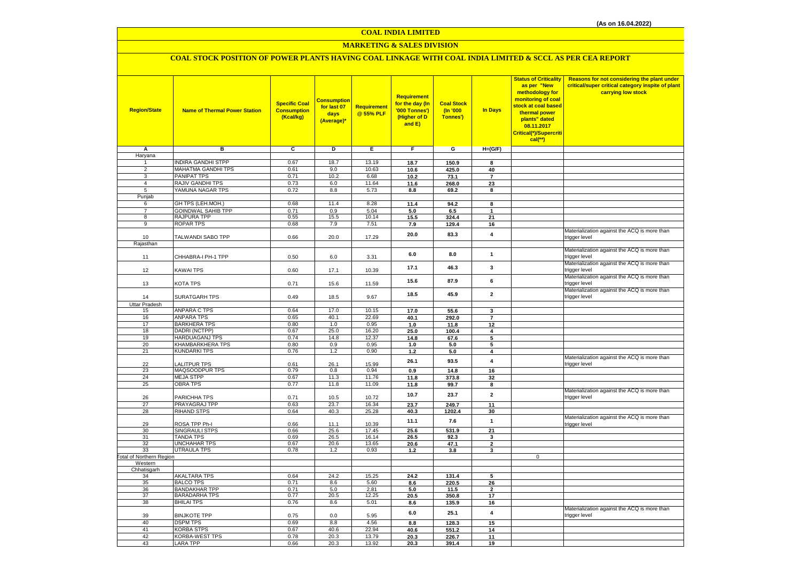# **MARKETING & SALES DIVISION**

## **COAL STOCK POSITION OF POWER PLANTS HAVING COAL LINKAGE WITH COAL INDIA LIMITED & SCCL AS PER CEA REPORT**

| <b>Region/State</b>      | <b>Name of Thermal Power Station</b> | <b>Specific Coal</b><br><b>Consumption</b><br>(Kcal/kg) | Consumption<br>for last 07<br>days<br>(Average)* | Requirement<br>@ 55% PLF | Requirement<br>for the day (In<br>'000 Tonnes')<br>(Higher of D<br>and E) | <b>Coal Stock</b><br>(In '000<br>Tonnes') | <b>In Days</b>          | <b>Status of Criticality</b><br>as per "New<br>methodology for<br>monitoring of coal<br>stock at coal based<br>thermal power<br>plants" dated<br>08.11.2017<br>Critical(*)/Supercriti<br>$cal$ (**) | Reasons for not considering the plant under<br>critical/super critical category inspite of plant<br>carrying low stock |
|--------------------------|--------------------------------------|---------------------------------------------------------|--------------------------------------------------|--------------------------|---------------------------------------------------------------------------|-------------------------------------------|-------------------------|-----------------------------------------------------------------------------------------------------------------------------------------------------------------------------------------------------|------------------------------------------------------------------------------------------------------------------------|
| Α                        | в                                    | c                                                       | D                                                | Е                        | F.                                                                        | G                                         | $H=(G/F)$               |                                                                                                                                                                                                     |                                                                                                                        |
| Haryana                  |                                      |                                                         |                                                  |                          |                                                                           |                                           |                         |                                                                                                                                                                                                     |                                                                                                                        |
| 1                        | <b>INDIRA GANDHI STPP</b>            | 0.67                                                    | 18.7                                             | 13.19                    | 18.7                                                                      | 150.9                                     | 8                       |                                                                                                                                                                                                     |                                                                                                                        |
| $\overline{2}$           | MAHATMA GANDHI TPS                   | 0.61                                                    | 9.0                                              | 10.63                    | 10.6                                                                      | 425.0                                     | 40                      |                                                                                                                                                                                                     |                                                                                                                        |
| $\overline{3}$           | PANIPAT TPS                          | 0.71                                                    | 10.2                                             | 6.68                     | 10.2                                                                      | 73.1                                      | $\overline{7}$          |                                                                                                                                                                                                     |                                                                                                                        |
| $\overline{4}$           | RAJIV GANDHI TPS                     | 0.73                                                    | 6.0                                              | 11.64                    | 11.6                                                                      | 268.0                                     | 23                      |                                                                                                                                                                                                     |                                                                                                                        |
| 5<br>Punjab              | YAMUNA NAGAR TPS                     | 0.72                                                    | 8.8                                              | 5.73                     | $\bf 8.8$                                                                 | 69.2                                      | 8                       |                                                                                                                                                                                                     |                                                                                                                        |
| 6                        | GH TPS (LEH.MOH.)                    | 0.68                                                    | 11.4                                             | 8.28                     | 11.4                                                                      | 94.2                                      | 8                       |                                                                                                                                                                                                     |                                                                                                                        |
| $\overline{7}$           | <b>GOINDWAL SAHIB TPP</b>            | 0.71                                                    | 0.9                                              | 5.04                     | 5.0                                                                       | 6.5                                       | $\mathbf{1}$            |                                                                                                                                                                                                     |                                                                                                                        |
| 8                        | RAJPURA TPP                          | 0.55                                                    | 15.5                                             | 10.14                    | 15.5                                                                      | 324.4                                     | 21                      |                                                                                                                                                                                                     |                                                                                                                        |
| $\overline{9}$           | <b>ROPAR TPS</b>                     | 0.68                                                    | 7.9                                              | 7.51                     | 7.9                                                                       | 129.4                                     | 16                      |                                                                                                                                                                                                     |                                                                                                                        |
|                          |                                      |                                                         |                                                  |                          | 20.0                                                                      | 83.3                                      | 4                       |                                                                                                                                                                                                     | Materialization against the ACQ is more than                                                                           |
| 10                       | TALWANDI SABO TPP                    | 0.66                                                    | 20.0                                             | 17.29                    |                                                                           |                                           |                         |                                                                                                                                                                                                     | trigger level                                                                                                          |
| Rajasthan                |                                      |                                                         |                                                  |                          |                                                                           |                                           |                         |                                                                                                                                                                                                     |                                                                                                                        |
|                          |                                      |                                                         |                                                  |                          | 6.0                                                                       | 8.0                                       | $\mathbf 1$             |                                                                                                                                                                                                     | Materialization against the ACQ is more than<br>trigger level                                                          |
| 11                       | CHHABRA-I PH-1 TPP                   | 0.50                                                    | $6.0\,$                                          | 3.31                     |                                                                           |                                           |                         |                                                                                                                                                                                                     | Materialization against the ACQ is more than                                                                           |
| 12                       | KAWAI TPS                            | 0.60                                                    | 17.1                                             | 10.39                    | 17.1                                                                      | 46.3                                      | 3                       |                                                                                                                                                                                                     | trigger level                                                                                                          |
|                          |                                      |                                                         |                                                  |                          |                                                                           |                                           |                         |                                                                                                                                                                                                     | Materialization against the ACQ is more than                                                                           |
| 13                       | KOTA TPS                             | 0.71                                                    | 15.6                                             | 11.59                    | 15.6                                                                      | 87.9                                      | 6                       |                                                                                                                                                                                                     | trigger level                                                                                                          |
|                          |                                      |                                                         |                                                  |                          |                                                                           |                                           |                         |                                                                                                                                                                                                     | Materialization against the ACQ is more than                                                                           |
| 14                       | <b>SURATGARH TPS</b>                 | 0.49                                                    | 18.5                                             | 9.67                     | 18.5                                                                      | 45.9                                      | $\overline{\mathbf{2}}$ |                                                                                                                                                                                                     | trigger level                                                                                                          |
| <b>Uttar Pradesh</b>     |                                      |                                                         |                                                  |                          |                                                                           |                                           |                         |                                                                                                                                                                                                     |                                                                                                                        |
| 15                       | <b>ANPARA C TPS</b>                  | 0.64                                                    | 17.0                                             | 10.15                    | 17.0                                                                      | 55.6                                      | 3                       |                                                                                                                                                                                                     |                                                                                                                        |
| 16                       | <b>ANPARA TPS</b>                    | 0.65                                                    | 40.1                                             | 22.69                    | 40.1                                                                      | 292.0                                     | $\overline{7}$          |                                                                                                                                                                                                     |                                                                                                                        |
| 17                       | <b>BARKHERA TPS</b>                  | 0.80                                                    | 1.0                                              | 0.95                     | 1.0                                                                       | 11.8                                      | 12                      |                                                                                                                                                                                                     |                                                                                                                        |
| 18<br>19                 | DADRI (NCTPP)<br>HARDUAGANJ TPS      | 0.67<br>0.74                                            | 25.0<br>14.8                                     | 16.20<br>12.37           | 25.0                                                                      | 100.4                                     | 4                       |                                                                                                                                                                                                     |                                                                                                                        |
| 20                       | KHAMBARKHERA TPS                     | 0.80                                                    | 0.9                                              | 0.95                     | 14.8<br>1.0                                                               | 67.6<br>5.0                               | 5<br>5                  |                                                                                                                                                                                                     |                                                                                                                        |
| 21                       | <b>KUNDARKI TPS</b>                  | 0.76                                                    | 1.2                                              | 0.90                     | $1.2$                                                                     | 5.0                                       | 4                       |                                                                                                                                                                                                     |                                                                                                                        |
|                          |                                      |                                                         |                                                  |                          |                                                                           |                                           |                         |                                                                                                                                                                                                     | Materialization against the ACQ is more than                                                                           |
| 22                       | <b>ALITPUR TPS</b>                   | 0.61                                                    | 26.1                                             | 15.99                    | 26.1                                                                      | 93.5                                      | 4                       |                                                                                                                                                                                                     | trigger level                                                                                                          |
| 23                       | MAQSOODPUR TPS                       | 0.79                                                    | 0.8                                              | 0.94                     | 0.9                                                                       | 14.8                                      | 16                      |                                                                                                                                                                                                     |                                                                                                                        |
| 24                       | <b>MEJA STPP</b>                     | 0.67                                                    | 11.3                                             | 11.76                    | 11.8                                                                      | 373.8                                     | 32                      |                                                                                                                                                                                                     |                                                                                                                        |
| 25                       | <b>OBRA TPS</b>                      | 0.77                                                    | 11.8                                             | 11.09                    | 11.8                                                                      | 99.7                                      | 8                       |                                                                                                                                                                                                     |                                                                                                                        |
|                          | PARICHHA TPS                         |                                                         |                                                  | 10.72                    | 10.7                                                                      | 23.7                                      | $\mathbf{2}$            |                                                                                                                                                                                                     | Materialization against the ACQ is more than<br>trigger level                                                          |
| 26<br>27                 | PRAYAGRAJ TPP                        | 0.71<br>0.63                                            | 10.5<br>23.7                                     | 16.34                    | 23.7                                                                      | 249.7                                     | 11                      |                                                                                                                                                                                                     |                                                                                                                        |
| 28                       | <b>RIHAND STPS</b>                   | 0.64                                                    | 40.3                                             | 25.28                    | 40.3                                                                      | 1202.4                                    | 30                      |                                                                                                                                                                                                     |                                                                                                                        |
|                          |                                      |                                                         |                                                  |                          |                                                                           |                                           |                         |                                                                                                                                                                                                     | Materialization against the ACQ is more than                                                                           |
| 29                       | ROSA TPP Ph-I                        | 0.66                                                    | 11.1                                             | 10.39                    | 11.1                                                                      | 7.6                                       | $\mathbf{1}$            |                                                                                                                                                                                                     | trigger level                                                                                                          |
| 30                       | SINGRAULI STPS                       | 0.66                                                    | 25.6                                             | 17.45                    | 25.6                                                                      | 531.9                                     | 21                      |                                                                                                                                                                                                     |                                                                                                                        |
| 31                       | <b>TANDA TPS</b>                     | 0.69                                                    | 26.5                                             | 16.14                    | 26.5                                                                      | 92.3                                      | 3                       |                                                                                                                                                                                                     |                                                                                                                        |
| 32<br>33                 | UNCHAHAR TPS<br><b>UTRAULA TPS</b>   | 0.67<br>0.78                                            | 20.6                                             | 13.65<br>0.93            | 20.6                                                                      | 47.1                                      | $\mathbf{2}$            |                                                                                                                                                                                                     |                                                                                                                        |
| Total of Northern Region |                                      |                                                         | $1.2$                                            |                          | $1.2$                                                                     | 3.8                                       | 3                       | $\mathbf 0$                                                                                                                                                                                         |                                                                                                                        |
| Western                  |                                      |                                                         |                                                  |                          |                                                                           |                                           |                         |                                                                                                                                                                                                     |                                                                                                                        |
| Chhatisgarh              |                                      |                                                         |                                                  |                          |                                                                           |                                           |                         |                                                                                                                                                                                                     |                                                                                                                        |
| 34                       | <b>AKALTARA TPS</b>                  | 0.64                                                    | 24.2                                             | 15.25                    | 24.2                                                                      | 131.4                                     | 5                       |                                                                                                                                                                                                     |                                                                                                                        |
| 35                       | <b>BALCO TPS</b>                     | 0.71                                                    | 8.6                                              | 5.60                     | 8.6                                                                       | 220.5                                     | 26                      |                                                                                                                                                                                                     |                                                                                                                        |
| 36                       | <b>BANDAKHAR TPP</b>                 | 0.71                                                    | 5.0                                              | 2.81                     | 5.0                                                                       | 11.5                                      | $\overline{2}$          |                                                                                                                                                                                                     |                                                                                                                        |
| 37                       | <b>BARADARHA TPS</b>                 | 0.77                                                    | 20.5                                             | 12.25                    | 20.5                                                                      | 350.8                                     | 17                      |                                                                                                                                                                                                     |                                                                                                                        |
| 38                       | <b>BHILAI TPS</b>                    | 0.76                                                    | 8.6                                              | 5.01                     | 8.6                                                                       | 135.9                                     | 16                      |                                                                                                                                                                                                     | Materialization against the ACQ is more than                                                                           |
| 39                       | <b>BINJKOTE TPP</b>                  | 0.75                                                    | 0.0                                              | 5.95                     | 6.0                                                                       | 25.1                                      | 4                       |                                                                                                                                                                                                     | trigger level                                                                                                          |
| 40                       | <b>DSPM TPS</b>                      | 0.69                                                    | 8.8                                              | 4.56                     | 8.8                                                                       | 128.3                                     | 15                      |                                                                                                                                                                                                     |                                                                                                                        |
| 41                       | <b>KORBA STPS</b>                    | 0.67                                                    | 40.6                                             | 22.94                    | 40.6                                                                      | 551.2                                     | 14                      |                                                                                                                                                                                                     |                                                                                                                        |
| 42                       | KORBA-WEST TPS                       | 0.78                                                    | 20.3                                             | 13.79                    | 20.3                                                                      | 226.7                                     | 11                      |                                                                                                                                                                                                     |                                                                                                                        |
| 43                       | <b>LARA TPP</b>                      | 0.66                                                    | 20.3                                             | 13.92                    | 20.3                                                                      | 391.4                                     | 19                      |                                                                                                                                                                                                     |                                                                                                                        |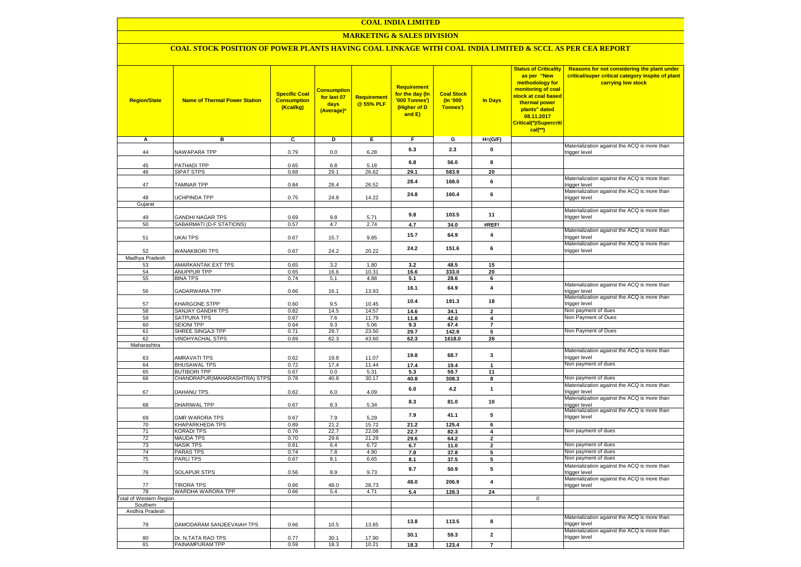### **MARKETING & SALES DIVISION**

### **COAL STOCK POSITION OF POWER PLANTS HAVING COAL LINKAGE WITH COAL INDIA LIMITED & SCCL AS PER CEA REPORT**

| <b>Region/State</b>    | <b>Name of Thermal Power Station</b>       | <b>Specific Coal</b><br><b>Consumption</b><br>(Kcal/kg) | <mark>Consumption</mark><br>for last 07<br>days<br>(Average)* | <b>Requirement</b><br>@ 55% PLF | <b>Requirement</b><br>for the day (In<br>'000 Tonnes')<br>(Higher of D<br>and E) | <b>Coal Stock</b><br>(In '000<br>Tonnes') | <b>In Days</b>          | <b>Status of Criticality</b><br>as per "New<br>methodology for<br>monitoring of coal<br>stock at coal based<br>thermal power<br>plants" dated<br>08.11.2017<br>Critical(*)/Supercriti<br>$cal$ (**) | Reasons for not considering the plant under<br>critical/super critical category inspite of plant<br>carrying low stock |
|------------------------|--------------------------------------------|---------------------------------------------------------|---------------------------------------------------------------|---------------------------------|----------------------------------------------------------------------------------|-------------------------------------------|-------------------------|-----------------------------------------------------------------------------------------------------------------------------------------------------------------------------------------------------|------------------------------------------------------------------------------------------------------------------------|
| Α                      | в                                          | c                                                       | Þ                                                             | Е                               | F                                                                                | G                                         | $H=(G/F)$               |                                                                                                                                                                                                     |                                                                                                                        |
|                        | <b>NAWAPARA TPP</b>                        | 0.79                                                    | 0.0                                                           | 6.28                            | 6.3                                                                              | 2.3                                       | 0                       |                                                                                                                                                                                                     | Materialization against the ACQ is more than                                                                           |
| 44                     |                                            |                                                         |                                                               |                                 |                                                                                  |                                           |                         |                                                                                                                                                                                                     | trigger level                                                                                                          |
| 45                     | <b>PATHADI TPP</b>                         | 0.65                                                    | 6.8                                                           | 5.18                            | 6.8                                                                              | 56.0                                      | 8                       |                                                                                                                                                                                                     |                                                                                                                        |
| 46                     | SIPAT STPS                                 | 0.68                                                    | 29.1                                                          | 26.62                           | 29.1                                                                             | 583.9                                     | 20                      |                                                                                                                                                                                                     |                                                                                                                        |
| 47                     | <b>TAMNAR TPP</b>                          | 0.84                                                    | 28.4                                                          | 26.52                           | 28.4                                                                             | 168.0                                     | 6                       |                                                                                                                                                                                                     | Materialization against the ACQ is more than<br>trigger level                                                          |
| 48                     | <b>JCHPINDA TPP</b>                        | 0.75                                                    | 24.8                                                          | 14.22                           | 24.8                                                                             | 160.4                                     | 6                       |                                                                                                                                                                                                     | Materialization against the ACQ is more than<br>trigger level                                                          |
| Gujarat                |                                            |                                                         |                                                               |                                 |                                                                                  |                                           |                         |                                                                                                                                                                                                     |                                                                                                                        |
|                        |                                            |                                                         |                                                               |                                 | 9.8                                                                              | 103.5                                     | 11                      |                                                                                                                                                                                                     | Materialization against the ACQ is more than                                                                           |
| 49                     | <b>GANDHI NAGAR TPS</b>                    | 0.69                                                    | 9.8                                                           | 5.71                            |                                                                                  |                                           |                         |                                                                                                                                                                                                     | trigger level                                                                                                          |
| 50                     | SABARMATI (D-F STATIONS)                   | 0.57                                                    | 4.7                                                           | 2.74                            | 4.7                                                                              | 34.0                                      | #REF!                   |                                                                                                                                                                                                     | Materialization against the ACQ is more than                                                                           |
| 51                     | UKAI TPS                                   | 0.67                                                    | 15.7                                                          | 9.85                            | 15.7                                                                             | 64.9                                      | $\overline{\mathbf{4}}$ |                                                                                                                                                                                                     | trigger level                                                                                                          |
| 52                     | <b>WANAKBORI TPS</b>                       | 0.67                                                    | 24.2                                                          | 20.22                           | 24.2                                                                             | 151.6                                     | 6                       |                                                                                                                                                                                                     | Materialization against the ACQ is more than<br>trigger level                                                          |
| Madhya Pradesh         |                                            |                                                         |                                                               |                                 |                                                                                  |                                           |                         |                                                                                                                                                                                                     |                                                                                                                        |
| 53                     | AMARKANTAK EXT TPS                         | 0.65                                                    | 3.2                                                           | 1.80                            | 3.2                                                                              | 48.5                                      | 15                      |                                                                                                                                                                                                     |                                                                                                                        |
| 54<br>55               | <b>ANUPPUR TPP</b><br><b>BINA TPS</b>      | 0.65<br>0.74                                            | 16.6<br>5.1                                                   | 10.31<br>4.88                   | 16.6<br>5.1                                                                      | 333.0<br>28.6                             | 20<br>6                 |                                                                                                                                                                                                     |                                                                                                                        |
|                        |                                            |                                                         |                                                               |                                 |                                                                                  |                                           |                         |                                                                                                                                                                                                     | Materialization against the ACQ is more than                                                                           |
| 56                     | GADARWARA TPP                              | 0.66                                                    | 16.1                                                          | 13.93                           | 16.1                                                                             | 64.9                                      | $\overline{\mathbf{4}}$ |                                                                                                                                                                                                     | trigger level<br>Materialization against the ACQ is more than                                                          |
| 57                     | KHARGONE STPP                              | 0.60                                                    | 9.5                                                           | 10.45                           | 10.4                                                                             | 191.3                                     | 18                      |                                                                                                                                                                                                     | trigger level                                                                                                          |
| 58                     | SANJAY GANDHI TPS                          | 0.82                                                    | 14.5                                                          | 14.57                           | 14.6                                                                             | 34.1                                      | $\overline{\mathbf{2}}$ |                                                                                                                                                                                                     | Non payment of dues                                                                                                    |
| 59                     | SATPURA TPS                                | 0.67                                                    | 7.6                                                           | 11.79                           | 11.8                                                                             | 42.0                                      | 4                       |                                                                                                                                                                                                     | Non Payment of Dues                                                                                                    |
| 60<br>61               | <b>SEIONI TPP</b><br>SHREE SINGAJI TPP     | 0.64<br>0.71                                            | 9.3<br>29.7                                                   | 5.06<br>23.50                   | 9.3<br>29.7                                                                      | 67.4<br>142.9                             | $\overline{7}$<br>5     |                                                                                                                                                                                                     | Non Payment of Dues                                                                                                    |
| 62                     | <b>VINDHYACHAL STPS</b>                    | 0.69                                                    | 62.3                                                          | 43.60                           | 62.3                                                                             | 1618.0                                    | 26                      |                                                                                                                                                                                                     |                                                                                                                        |
| Maharashtra            |                                            |                                                         |                                                               |                                 |                                                                                  |                                           |                         |                                                                                                                                                                                                     |                                                                                                                        |
|                        |                                            |                                                         |                                                               |                                 | 19.8                                                                             | 68.7                                      | 3                       |                                                                                                                                                                                                     | Materialization against the ACQ is more than                                                                           |
| 63<br>64               | AMRAVATI TPS                               | 0.62<br>0.72                                            | 19.8<br>17.4                                                  | 11.07<br>11.44                  |                                                                                  |                                           |                         |                                                                                                                                                                                                     | trigger level<br>Non payment of dues                                                                                   |
| 65                     | <b>BHUSAWAL TPS</b><br><b>BUTIBORI TPP</b> | 0.67                                                    | 0.0                                                           | 5.31                            | 17.4<br>5.3                                                                      | 19.4<br>59.7                              | $\mathbf{1}$<br>11      |                                                                                                                                                                                                     |                                                                                                                        |
| 66                     | CHANDRAPUR(MAHARASHTRA) STPS               | 0.78                                                    | 40.8                                                          | 30.17                           | 40.8                                                                             | 308.3                                     | 8                       |                                                                                                                                                                                                     | Non payment of dues                                                                                                    |
|                        |                                            |                                                         |                                                               |                                 | 6.0                                                                              | 4.2                                       | $\mathbf{1}$            |                                                                                                                                                                                                     | Materialization against the ACQ is more than                                                                           |
| 67                     | DAHANU TPS                                 | 0.62                                                    | $6.0\,$                                                       | 4.09                            |                                                                                  |                                           |                         |                                                                                                                                                                                                     | trigger level                                                                                                          |
| 68                     | DHARIWAL TPP                               | 0.67                                                    | 8.3                                                           | 5.34                            | 8.3                                                                              | 81.0                                      | 10                      |                                                                                                                                                                                                     | Materialization against the ACQ is more than<br>trigger level                                                          |
| 69                     | <b>GMR WARORA TPS</b>                      | 0.67                                                    | 7.9                                                           | 5.29                            | 7.9                                                                              | 41.1                                      | 5                       |                                                                                                                                                                                                     | Materialization against the ACQ is more than<br>trigger level                                                          |
| 70                     | KHAPARKHEDA TPS                            | 0.89                                                    | 21.2                                                          | 15.72                           | 21.2                                                                             | 125.4                                     | 6                       |                                                                                                                                                                                                     |                                                                                                                        |
| 71                     | KORADI TPS                                 | 0.76                                                    | 22.7                                                          | 22.08                           | 22.7                                                                             | 82.3                                      | 4                       |                                                                                                                                                                                                     | Non payment of dues                                                                                                    |
| 72<br>73               | <b>MAUDA TPS</b><br><b>NASIK TPS</b>       | 0.70<br>0.81                                            | 29.6<br>6.4                                                   | 21.29<br>6.72                   | 29.6                                                                             | 64.2                                      | $\mathbf{2}$            |                                                                                                                                                                                                     | Non payment of dues                                                                                                    |
| 74                     | <b>PARAS TPS</b>                           | 0.74                                                    | 7.8                                                           | 4.90                            | 6.7<br>7.8                                                                       | 11.0<br>37.8                              | $\mathbf{2}$<br>5       |                                                                                                                                                                                                     | Non payment of dues                                                                                                    |
| 75                     | <b>PARLITPS</b>                            | 0.67                                                    | 8.1                                                           | 6.65                            | 8.1                                                                              | 37.5                                      | 5                       |                                                                                                                                                                                                     | Non payment of dues                                                                                                    |
| 76                     | <b>SOLAPUR STPS</b>                        | 0.56                                                    | 8.9                                                           | 9.73                            | 9.7                                                                              | 50.9                                      | 5                       |                                                                                                                                                                                                     | Materialization against the ACQ is more than<br>trigger level                                                          |
|                        | <b>TIRORA TPS</b>                          | 0.66                                                    | 48.0                                                          | 28.73                           | 48.0                                                                             | 206.9                                     | $\overline{\mathbf{4}}$ |                                                                                                                                                                                                     | Materialization against the ACQ is more than<br>trigger level                                                          |
| 77<br>78               | WARDHA WARORA TPP                          | 0.66                                                    | 5.4                                                           | 4.71                            | 5.4                                                                              | 128.3                                     | 24                      |                                                                                                                                                                                                     |                                                                                                                        |
| otal of Western Region |                                            |                                                         |                                                               |                                 |                                                                                  |                                           |                         | $\mathbf 0$                                                                                                                                                                                         |                                                                                                                        |
| Southern               |                                            |                                                         |                                                               |                                 |                                                                                  |                                           |                         |                                                                                                                                                                                                     |                                                                                                                        |
| Andhra Pradesh         |                                            |                                                         |                                                               |                                 |                                                                                  |                                           |                         |                                                                                                                                                                                                     | Materialization against the ACQ is more than                                                                           |
| 79                     | DAMODARAM SANJEEVAIAH TPS                  | 0.66                                                    | 10.5                                                          | 13.85                           | 13.8                                                                             | 113.5                                     | 8                       |                                                                                                                                                                                                     | trigger level                                                                                                          |
| 80                     | Dr. N.TATA RAO TPS                         | 0.77                                                    | 30.1                                                          | 17.90                           | 30.1                                                                             | 59.3                                      | $\mathbf{2}$            |                                                                                                                                                                                                     | Materialization against the ACQ is more than<br>trigger level                                                          |
| 81                     | PAINAMPURAM TPP                            | 0.59                                                    | 18.3                                                          | 10.21                           | 18.3                                                                             | 123.4                                     | $\overline{7}$          |                                                                                                                                                                                                     |                                                                                                                        |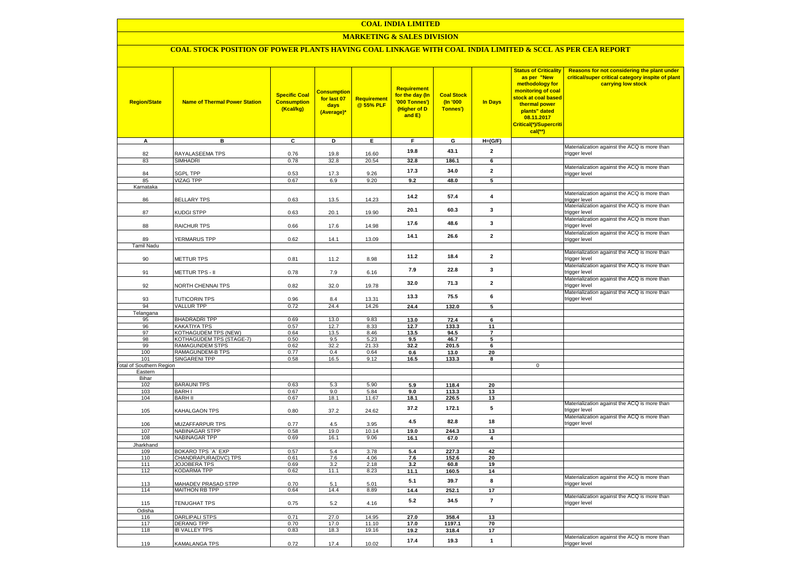### **MARKETING & SALES DIVISION**

# **COAL STOCK POSITION OF POWER PLANTS HAVING COAL LINKAGE WITH COAL INDIA LIMITED & SCCL AS PER CEA REPORT**

| <b>Region/State</b>                        | <b>Name of Thermal Power Station</b>       | <b>Specific Coal</b><br><b>Consumption</b><br>(Kcal/kg) | <b>Consumption</b><br>for last 07<br>days<br>(Average)* | <b>Requirement</b><br>@ 55% PLF | <b>Requirement</b><br>for the day (In<br>'000 Tonnes')<br>(Higher of D<br>and E) | <b>Coal Stock</b><br>$($ ln '000<br>Tonnes') | In Days                 | <b>Status of Criticality</b><br>as per "New<br>methodology for<br>monitoring of coal<br>stock at coal based<br>thermal power<br>plants" dated<br>08.11.2017<br>Critical(*)/Supercriti<br>$cal$ (**) | Reasons for not considering the plant under<br>critical/super critical category inspite of plant<br>carrying low stock |
|--------------------------------------------|--------------------------------------------|---------------------------------------------------------|---------------------------------------------------------|---------------------------------|----------------------------------------------------------------------------------|----------------------------------------------|-------------------------|-----------------------------------------------------------------------------------------------------------------------------------------------------------------------------------------------------|------------------------------------------------------------------------------------------------------------------------|
| A                                          | в                                          | c                                                       | D                                                       | Е                               | F.                                                                               | G                                            | $H=(G/F)$               |                                                                                                                                                                                                     |                                                                                                                        |
| 82                                         | RAYALASEEMA TPS                            | 0.76                                                    | 19.8                                                    | 16.60                           | 19.8                                                                             | 43.1                                         | $\mathbf{2}$            |                                                                                                                                                                                                     | Materialization against the ACQ is more than                                                                           |
| 83                                         | SIMHADRI                                   | 0.78                                                    | 32.8                                                    | 20.54                           | 32.8                                                                             | 186.1                                        | 6                       |                                                                                                                                                                                                     | trigger level                                                                                                          |
|                                            |                                            |                                                         |                                                         |                                 |                                                                                  |                                              |                         |                                                                                                                                                                                                     | Materialization against the ACQ is more than                                                                           |
| 84                                         | <b>SGPL TPP</b>                            | 0.53                                                    | 17.3                                                    | 9.26                            | 17.3                                                                             | 34.0                                         | $\mathbf{2}$            |                                                                                                                                                                                                     | trigger level                                                                                                          |
| 85                                         | <b>VIZAG TPP</b>                           | 0.67                                                    | 6.9                                                     | 9.20                            | 9.2                                                                              | 48.0                                         | 5                       |                                                                                                                                                                                                     |                                                                                                                        |
| Karnataka                                  |                                            |                                                         |                                                         |                                 |                                                                                  |                                              |                         |                                                                                                                                                                                                     |                                                                                                                        |
| 86                                         | <b>BELLARY TPS</b>                         | 0.63                                                    | 13.5                                                    | 14.23                           | 14.2                                                                             | 57.4                                         | $\overline{\mathbf{4}}$ |                                                                                                                                                                                                     | Materialization against the ACQ is more than<br>trigger level                                                          |
| 87                                         | KUDGI STPP                                 | 0.63                                                    | 20.1                                                    | 19.90                           | 20.1                                                                             | 60.3                                         | 3                       |                                                                                                                                                                                                     | Materialization against the ACQ is more than<br>trigger level                                                          |
| 88                                         | <b>RAICHUR TPS</b>                         | 0.66                                                    | 17.6                                                    | 14.98                           | 17.6                                                                             | 48.6                                         | $\mathbf{3}$            |                                                                                                                                                                                                     | Materialization against the ACQ is more than<br>trigger level                                                          |
|                                            |                                            |                                                         |                                                         |                                 | 14.1                                                                             | 26.6                                         | $\overline{2}$          |                                                                                                                                                                                                     | Materialization against the ACQ is more than                                                                           |
| 89<br><b>Tamil Nadu</b>                    | <b>YERMARUS TPP</b>                        | 0.62                                                    | 14.1                                                    | 13.09                           |                                                                                  |                                              |                         |                                                                                                                                                                                                     | trigger level                                                                                                          |
|                                            |                                            |                                                         |                                                         |                                 |                                                                                  |                                              |                         |                                                                                                                                                                                                     | Materialization against the ACQ is more than                                                                           |
| 90                                         | <b>METTUR TPS</b>                          | 0.81                                                    | 11.2                                                    | 8.98                            | 11.2                                                                             | 18.4                                         | $\mathbf{2}$            |                                                                                                                                                                                                     | trigger level                                                                                                          |
| 91                                         | METTUR TPS - II                            | 0.78                                                    | 7.9                                                     | 6.16                            | 7.9                                                                              | 22.8                                         | 3                       |                                                                                                                                                                                                     | Materialization against the ACQ is more than<br>trigger level                                                          |
| 92                                         | <b>VORTH CHENNAI TPS</b>                   | 0.82                                                    | 32.0                                                    | 19.78                           | 32.0                                                                             | 71.3                                         | $\mathbf{2}$            |                                                                                                                                                                                                     | Materialization against the ACQ is more than<br>trigger level                                                          |
|                                            |                                            |                                                         |                                                         |                                 |                                                                                  | 75.5                                         | 6                       |                                                                                                                                                                                                     | Materialization against the ACQ is more than                                                                           |
| 93                                         | <b>TUTICORIN TPS</b>                       | 0.96                                                    | 8.4                                                     | 13.31                           | 13.3                                                                             |                                              |                         |                                                                                                                                                                                                     | trigger level                                                                                                          |
| 94                                         | <b>VALLUR TPP</b>                          | 0.72                                                    | 24.4                                                    | 14.26                           | 24.4                                                                             | 132.0                                        | 5                       |                                                                                                                                                                                                     |                                                                                                                        |
| Telangana<br>95                            | <b>BHADRADRI TPP</b>                       | 0.69                                                    | 13.0                                                    | 9.83                            | 13.0                                                                             | 72.4                                         | 6                       |                                                                                                                                                                                                     |                                                                                                                        |
| 96                                         | KAKATIYA TPS                               | 0.57                                                    | 12.7                                                    | 8.33                            | 12.7                                                                             | 133.3                                        | 11                      |                                                                                                                                                                                                     |                                                                                                                        |
| 97                                         | KOTHAGUDEM TPS (NEW)                       | 0.64                                                    | 13.5                                                    | 8.46                            | 13.5                                                                             | 94.5                                         | $\overline{7}$          |                                                                                                                                                                                                     |                                                                                                                        |
| 98                                         | KOTHAGUDEM TPS (STAGE-7)                   | 0.50                                                    | 9.5                                                     | 5.23                            | 9.5                                                                              | 46.7                                         | 5                       |                                                                                                                                                                                                     |                                                                                                                        |
| 99                                         | <b>RAMAGUNDEM STPS</b>                     | 0.62                                                    | 32.2                                                    | 21.33                           | 32.2                                                                             | 201.5                                        | 6                       |                                                                                                                                                                                                     |                                                                                                                        |
| 100                                        | <b>RAMAGUNDEM-B TPS</b>                    | 0.77                                                    | 0.4                                                     | 0.64                            | 0.6                                                                              | 13.0                                         | 20                      |                                                                                                                                                                                                     |                                                                                                                        |
| 101                                        | <b>SINGARENI TPP</b>                       | 0.58                                                    | 16.5                                                    | 9.12                            | 16.5                                                                             | 133.3                                        | 8                       | $\mathbf 0$                                                                                                                                                                                         |                                                                                                                        |
| <b>Fotal of Southern Region</b><br>Eastern |                                            |                                                         |                                                         |                                 |                                                                                  |                                              |                         |                                                                                                                                                                                                     |                                                                                                                        |
| Bihar                                      |                                            |                                                         |                                                         |                                 |                                                                                  |                                              |                         |                                                                                                                                                                                                     |                                                                                                                        |
| 102                                        | <b>BARAUNI TPS</b>                         | 0.63                                                    | 5.3                                                     | 5.90                            | 5.9                                                                              | 118.4                                        | 20                      |                                                                                                                                                                                                     |                                                                                                                        |
| 103                                        | <b>BARHI</b>                               | 0.67                                                    | 9.0                                                     | 5.84                            | 9.0                                                                              | 113.3                                        | 13                      |                                                                                                                                                                                                     |                                                                                                                        |
| 104                                        | <b>BARH II</b>                             | 0.67                                                    | 18.1                                                    | 11.67                           | 18.1                                                                             | 226.5                                        | 13                      |                                                                                                                                                                                                     |                                                                                                                        |
| 105                                        | KAHALGAON TPS                              | 0.80                                                    | 37.2                                                    | 24.62                           | 37.2                                                                             | 172.1                                        | 5                       |                                                                                                                                                                                                     | Materialization against the ACQ is more than<br>trigger level                                                          |
| 106                                        | MUZAFFARPUR TPS                            | 0.77                                                    | 4.5                                                     | 3.95                            | 4.5                                                                              | 82.8                                         | 18                      |                                                                                                                                                                                                     | Materialization against the ACQ is more than<br>trigger level                                                          |
| 107                                        | <b>NABINAGAR STPP</b>                      | 0.58                                                    | 19.0                                                    | 10.14                           | 19.0                                                                             | 244.3                                        | 13                      |                                                                                                                                                                                                     |                                                                                                                        |
| 108                                        | <b>NABINAGAR TPP</b>                       | 0.69                                                    | 16.1                                                    | 9.06                            | 16.1                                                                             | 67.0                                         | $\overline{\mathbf{4}}$ |                                                                                                                                                                                                     |                                                                                                                        |
| Jharkhand<br>109                           | BOKARO TPS `A` EXP                         | 0.57                                                    | 5.4                                                     | 3.78                            | 5.4                                                                              | 227.3                                        | 42                      |                                                                                                                                                                                                     |                                                                                                                        |
| 110                                        | CHANDRAPURA(DVC) TPS                       | 0.61                                                    | 7.6                                                     | 4.06                            | 7.6                                                                              | 152.6                                        | 20                      |                                                                                                                                                                                                     |                                                                                                                        |
| 111                                        | <b>JOJOBERA TPS</b>                        | 0.69                                                    | 3.2                                                     | 2.18                            | 3.2                                                                              | 60.8                                         | 19                      |                                                                                                                                                                                                     |                                                                                                                        |
| 112                                        | KODARMA TPP                                | 0.62                                                    | 11.1                                                    | 8.23                            | 11.1                                                                             | 160.5                                        | 14                      |                                                                                                                                                                                                     |                                                                                                                        |
| 113                                        | <b>MAHADEV PRASAD STPP</b>                 | 0.70                                                    | 5.1                                                     | 5.01                            | 5.1                                                                              | 39.7                                         | 8                       |                                                                                                                                                                                                     | Materialization against the ACQ is more than<br>trigger level                                                          |
| 114                                        | <b>MAITHON RB TPP</b>                      | 0.64                                                    | 14.4                                                    | 8.89                            | 14.4                                                                             | 252.1                                        | 17                      |                                                                                                                                                                                                     |                                                                                                                        |
| 115                                        | <b>TENUGHAT TPS</b>                        | 0.75                                                    | 5.2                                                     | 4.16                            | 5.2                                                                              | 34.5                                         | $\overline{7}$          |                                                                                                                                                                                                     | Materialization against the ACQ is more than<br>trigger level                                                          |
| Odisha                                     |                                            |                                                         |                                                         |                                 |                                                                                  |                                              |                         |                                                                                                                                                                                                     |                                                                                                                        |
| 116<br>117                                 | <b>DARLIPALI STPS</b><br><b>DERANG TPP</b> | 0.71<br>0.70                                            | 27.0<br>17.0                                            | 14.95<br>11.10                  | 27.0                                                                             | 358.4                                        | 13                      |                                                                                                                                                                                                     |                                                                                                                        |
| 118                                        | <b>IB VALLEY TPS</b>                       | 0.83                                                    | 18.3                                                    | 19.16                           | 17.0<br>19.2                                                                     | 1197.1<br>318.4                              | 70<br>17                |                                                                                                                                                                                                     |                                                                                                                        |
|                                            |                                            |                                                         |                                                         |                                 |                                                                                  |                                              |                         |                                                                                                                                                                                                     | Materialization against the ACQ is more than                                                                           |
| 119                                        | KAMALANGA TPS                              | 0.72                                                    | 17.4                                                    | 10.02                           | 17.4                                                                             | 19.3                                         | $\mathbf{1}$            |                                                                                                                                                                                                     | trigger level                                                                                                          |